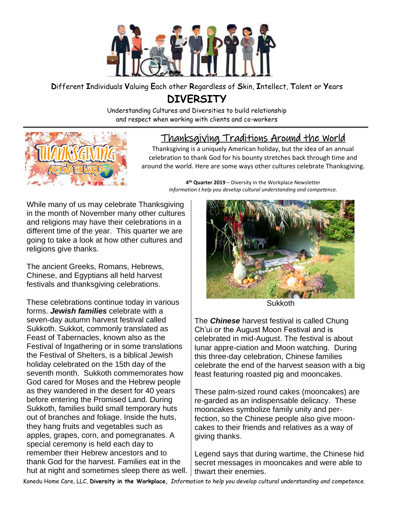

## **D**ifferent **I**ndividuals **V**aluing **E**ach other **R**egardless of **S**kin, **I**ntellect, **T**alent or **Y**ears

## **DIVERSITY**

Understanding Cultures and Diversities to build relationship and respect when working with clients and co-workers

## Thanksgiving Traditions Around the World

Thanksgiving is a uniquely American holiday, but the idea of an annual celebration to thank God for his bounty stretches back through time and around the world. Here are some ways other cultures celebrate Thanksgiving.

**4 th Quarter 2019** – Diversity in the Workplace Newsletter *Information t help you develop cultural understanding and competence.*

While many of us may celebrate Thanksgiving in the month of November many other cultures and religions may have their celebrations in a different time of the year. This quarter we are going to take a look at how other cultures and religions give thanks.

The ancient Greeks, Romans, Hebrews, Chinese, and Egyptians all held harvest festivals and thanksgiving celebrations.

These celebrations continue today in various forms. *Jewish families* celebrate with a seven-day autumn harvest festival called Sukkoth. Sukkot, commonly translated as Feast of Tabernacles, known also as the Festival of Ingathering or in some translations the Festival of Shelters, is a biblical Jewish holiday celebrated on the 15th day of the seventh month. Sukkoth commemorates how God cared for Moses and the Hebrew people as they wandered in the desert for 40 years before entering the Promised Land. During Sukkoth, families build small temporary huts out of branches and foliage. Inside the huts, they hang fruits and vegetables such as apples, grapes, corn, and pomegranates. A special ceremony is held each day to remember their Hebrew ancestors and to thank God for the harvest. Families eat in the hut at night and sometimes sleep there as well.



**Sukkoth** 

The *Chinese* harvest festival is called Chung Ch'ui or the August Moon Festival and is celebrated in mid-August. The festival is about lunar appre-ciation and Moon watching. During this three-day celebration, Chinese families celebrate the end of the harvest season with a big feast featuring roasted pig and mooncakes.

These palm-sized round cakes (mooncakes) are re-garded as an indispensable delicacy. These mooncakes symbolize family unity and perfection, so the Chinese people also give mooncakes to their friends and relatives as a way of giving thanks.

Legend says that during wartime, the Chinese hid secret messages in mooncakes and were able to thwart their enemies.